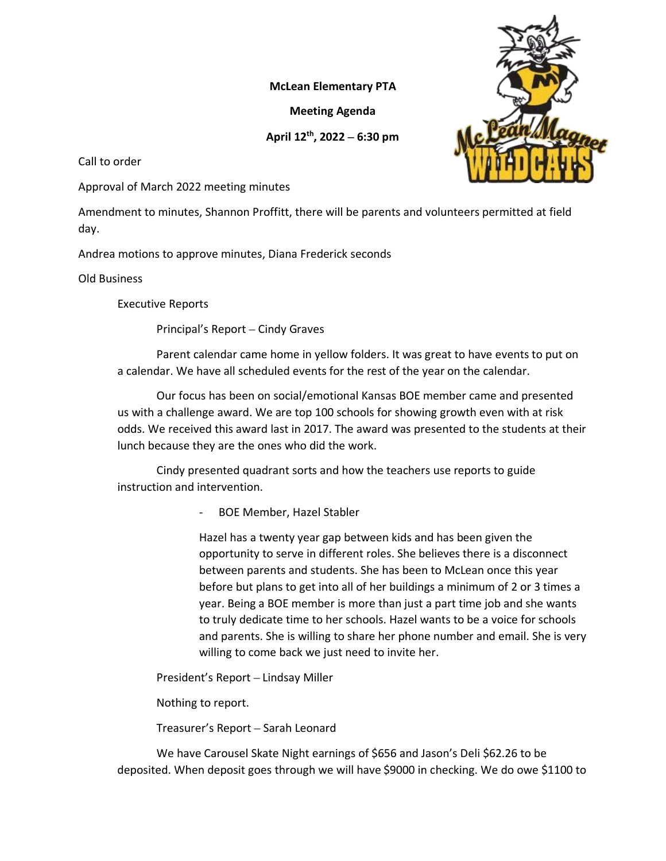## **McLean Elementary PTA**

**Meeting Agenda**

## **April 12th, 2022 – 6:30 pm**

Call to order

Approval of March 2022 meeting minutes

Amendment to minutes, Shannon Proffitt, there will be parents and volunteers permitted at field day.

Andrea motions to approve minutes, Diana Frederick seconds

Old Business

Executive Reports

Principal's Report – Cindy Graves

Parent calendar came home in yellow folders. It was great to have events to put on a calendar. We have all scheduled events for the rest of the year on the calendar.

Our focus has been on social/emotional Kansas BOE member came and presented us with a challenge award. We are top 100 schools for showing growth even with at risk odds. We received this award last in 2017. The award was presented to the students at their lunch because they are the ones who did the work.

Cindy presented quadrant sorts and how the teachers use reports to guide instruction and intervention.

- BOE Member, Hazel Stabler

Hazel has a twenty year gap between kids and has been given the opportunity to serve in different roles. She believes there is a disconnect between parents and students. She has been to McLean once this year before but plans to get into all of her buildings a minimum of 2 or 3 times a year. Being a BOE member is more than just a part time job and she wants to truly dedicate time to her schools. Hazel wants to be a voice for schools and parents. She is willing to share her phone number and email. She is very willing to come back we just need to invite her.

President's Report – Lindsay Miller

Nothing to report.

Treasurer's Report – Sarah Leonard

We have Carousel Skate Night earnings of \$656 and Jason's Deli \$62.26 to be deposited. When deposit goes through we will have \$9000 in checking. We do owe \$1100 to